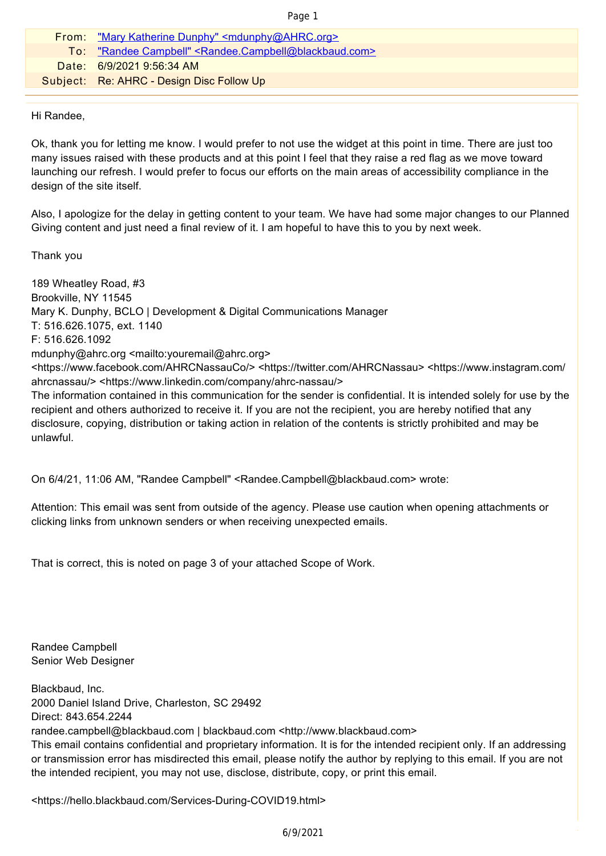| c |  |
|---|--|
|   |  |

| From: "Mary Katherine Dunphy" <mdunphy@ahrc.org></mdunphy@ahrc.org>                   |
|---------------------------------------------------------------------------------------|
| To: "Randee Campbell" <randee.campbell@blackbaud.com></randee.campbell@blackbaud.com> |
| Date: 6/9/2021 9:56:34 AM                                                             |
| Subject: Re: AHRC - Design Disc Follow Up                                             |
|                                                                                       |

Hi Randee,

Ok, thank you for letting me know. I would prefer to not use the widget at this point in time. There are just too many issues raised with these products and at this point I feel that they raise a red flag as we move toward launching our refresh. I would prefer to focus our efforts on the main areas of accessibility compliance in the design of the site itself.

Also, I apologize for the delay in getting content to your team. We have had some major changes to our Planned Giving content and just need a final review of it. I am hopeful to have this to you by next week.

Thank you

189 Wheatley Road, #3 Brookville, NY 11545 Mary K. Dunphy, BCLO | Development & Digital Communications Manager T: 516.626.1075, ext. 1140 F: 516.626.1092 mdunphy@ahrc.org <mailto:youremail@ahrc.org> <https://www.facebook.com/AHRCNassauCo/> <https://twitter.com/AHRCNassau> <https://www.instagram.com/ ahrcnassau/> <https://www.linkedin.com/company/ahrc-nassau/> The information contained in this communication for the sender is confidential. It is intended solely for use by the recipient and others authorized to receive it. If you are not the recipient, you are hereby notified that any disclosure, copying, distribution or taking action in relation of the contents is strictly prohibited and may be unlawful.

On 6/4/21, 11:06 AM, "Randee Campbell" <Randee.Campbell@blackbaud.com> wrote:

Attention: This email was sent from outside of the agency. Please use caution when opening attachments or clicking links from unknown senders or when receiving unexpected emails.

That is correct, this is noted on page 3 of your attached Scope of Work.

Randee Campbell Senior Web Designer

Blackbaud, Inc. 2000 Daniel Island Drive, Charleston, SC 29492 Direct: 843.654.2244 randee.campbell@blackbaud.com | blackbaud.com <http://www.blackbaud.com>

This email contains confidential and proprietary information. It is for the intended recipient only. If an addressing or transmission error has misdirected this email, please notify the author by replying to this email. If you are not the intended recipient, you may not use, disclose, distribute, copy, or print this email.

<https://hello.blackbaud.com/Services-During-COVID19.html>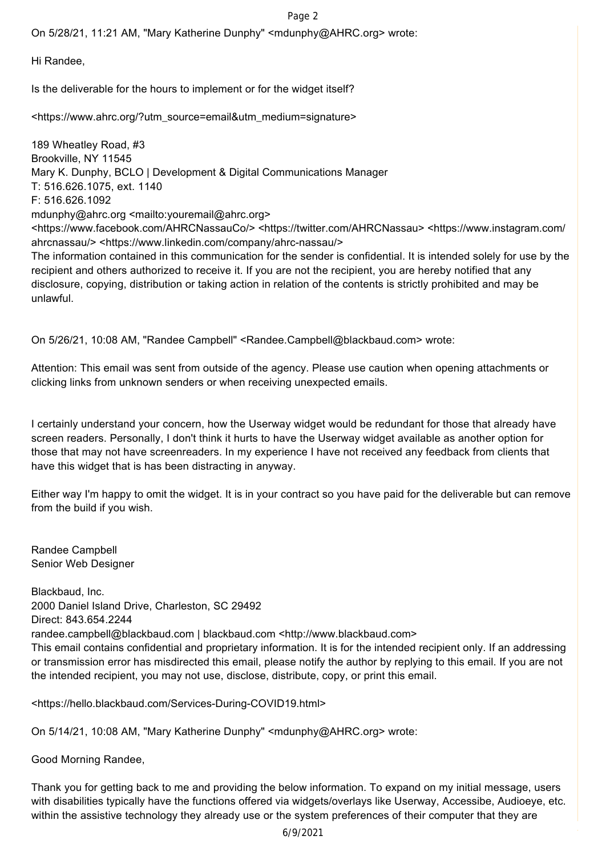On 5/28/21, 11:21 AM, "Mary Katherine Dunphy" <mdunphy@AHRC.org> wrote:

Hi Randee,

Is the deliverable for the hours to implement or for the widget itself?

<https://www.ahrc.org/?utm\_source=email&utm\_medium=signature>

189 Wheatley Road, #3 Brookville, NY 11545 Mary K. Dunphy, BCLO | Development & Digital Communications Manager T: 516.626.1075, ext. 1140 F: 516.626.1092 mdunphy@ahrc.org <mailto:youremail@ahrc.org> <https://www.facebook.com/AHRCNassauCo/> <https://twitter.com/AHRCNassau> <https://www.instagram.com/ ahrcnassau/> <https://www.linkedin.com/company/ahrc-nassau/> The information contained in this communication for the sender is confidential. It is intended solely for use by the recipient and others authorized to receive it. If you are not the recipient, you are hereby notified that any disclosure, copying, distribution or taking action in relation of the contents is strictly prohibited and may be unlawful.

On 5/26/21, 10:08 AM, "Randee Campbell" <Randee.Campbell@blackbaud.com> wrote:

Attention: This email was sent from outside of the agency. Please use caution when opening attachments or clicking links from unknown senders or when receiving unexpected emails.

I certainly understand your concern, how the Userway widget would be redundant for those that already have screen readers. Personally, I don't think it hurts to have the Userway widget available as another option for those that may not have screenreaders. In my experience I have not received any feedback from clients that have this widget that is has been distracting in anyway.

Either way I'm happy to omit the widget. It is in your contract so you have paid for the deliverable but can remove from the build if you wish.

Randee Campbell Senior Web Designer

Blackbaud, Inc. 2000 Daniel Island Drive, Charleston, SC 29492 Direct: 843.654.2244 randee.campbell@blackbaud.com | blackbaud.com <http://www.blackbaud.com> This email contains confidential and proprietary information. It is for the intended recipient only. If an addressing or transmission error has misdirected this email, please notify the author by replying to this email. If you are not the intended recipient, you may not use, disclose, distribute, copy, or print this email.

<https://hello.blackbaud.com/Services-During-COVID19.html>

On 5/14/21, 10:08 AM, "Mary Katherine Dunphy" <mdunphy@AHRC.org> wrote:

Good Morning Randee,

Thank you for getting back to me and providing the below information. To expand on my initial message, users with disabilities typically have the functions offered via widgets/overlays like Userway, Accessibe, Audioeye, etc. within the assistive technology they already use or the system preferences of their computer that they are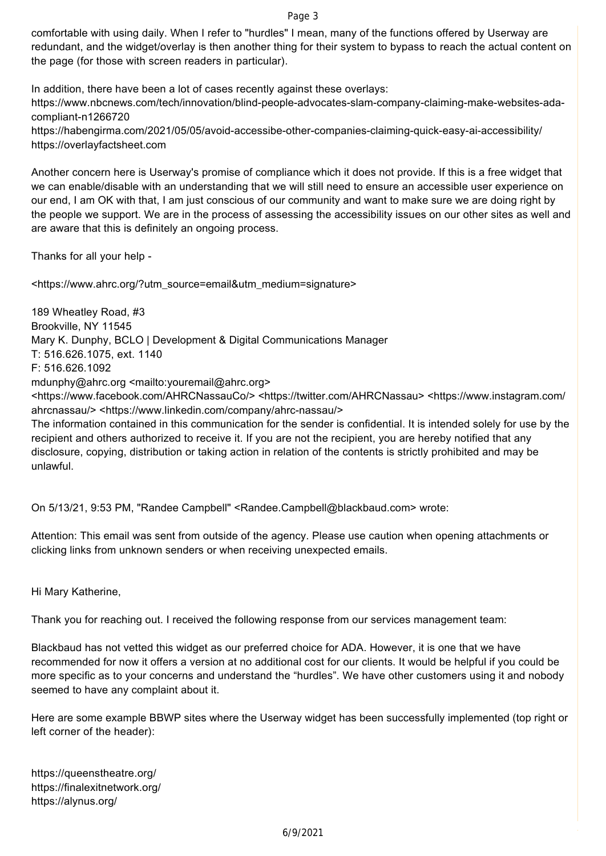comfortable with using daily. When I refer to "hurdles" I mean, many of the functions offered by Userway are redundant, and the widget/overlay is then another thing for their system to bypass to reach the actual content on the page (for those with screen readers in particular).

In addition, there have been a lot of cases recently against these overlays: [https://www.nbcnews.com/tech/innovation/blind-people-advocates-slam-company-claiming-make-websites-ada](https://www.nbcnews.com/tech/innovation/blind-people-advocates-slam-company-claiming-make-websites-ada-)compliant-n1266720 <https://habengirma.com/2021/05/05/avoid-accessibe-other-companies-claiming-quick-easy-ai-accessibility/>

<https://overlayfactsheet.com>

Another concern here is Userway's promise of compliance which it does not provide. If this is a free widget that we can enable/disable with an understanding that we will still need to ensure an accessible user experience on our end, I am OK with that, I am just conscious of our community and want to make sure we are doing right by the people we support. We are in the process of assessing the accessibility issues on our other sites as well and are aware that this is definitely an ongoing process.

Thanks for all your help -

<https://www.ahrc.org/?utm\_source=email&utm\_medium=signature>

189 Wheatley Road, #3 Brookville, NY 11545 Mary K. Dunphy, BCLO | Development & Digital Communications Manager T: 516.626.1075, ext. 1140 F: 516.626.1092 mdunphy@ahrc.org <mailto:youremail@ahrc.org> <https://www.facebook.com/AHRCNassauCo/> <https://twitter.com/AHRCNassau> <https://www.instagram.com/ ahrcnassau/> <https://www.linkedin.com/company/ahrc-nassau/> The information contained in this communication for the sender is confidential. It is intended solely for use by the recipient and others authorized to receive it. If you are not the recipient, you are hereby notified that any disclosure, copying, distribution or taking action in relation of the contents is strictly prohibited and may be unlawful.

On 5/13/21, 9:53 PM, "Randee Campbell" <Randee.Campbell@blackbaud.com> wrote:

Attention: This email was sent from outside of the agency. Please use caution when opening attachments or clicking links from unknown senders or when receiving unexpected emails.

Hi Mary Katherine,

Thank you for reaching out. I received the following response from our services management team:

Blackbaud has not vetted this widget as our preferred choice for ADA. However, it is one that we have recommended for now it offers a version at no additional cost for our clients. It would be helpful if you could be more specific as to your concerns and understand the "hurdles". We have other customers using it and nobody seemed to have any complaint about it.

Here are some example BBWP sites where the Userway widget has been successfully implemented (top right or left corner of the header):

<https://queenstheatre.org/> <https://finalexitnetwork.org/> <https://alynus.org/>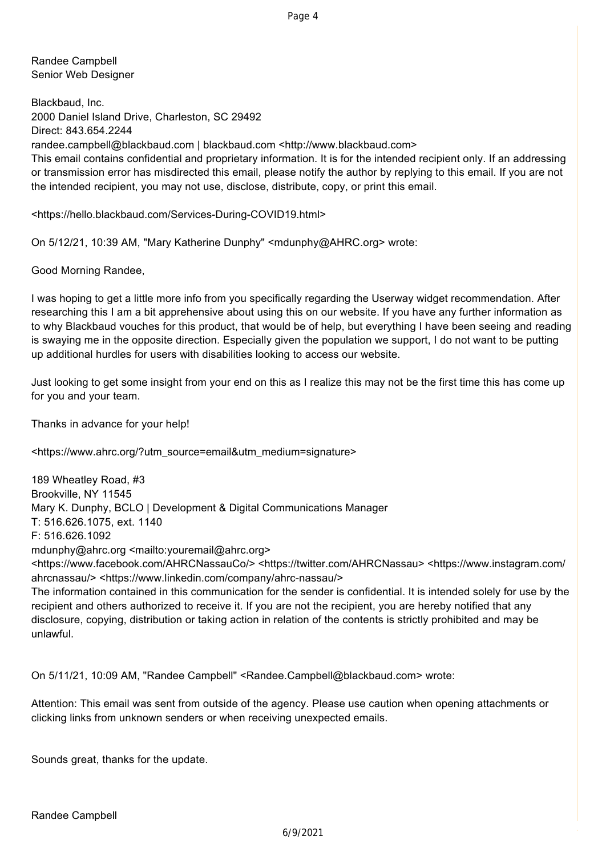Randee Campbell Senior Web Designer

Blackbaud, Inc. 2000 Daniel Island Drive, Charleston, SC 29492 Direct: 843.654.2244 randee.campbell@blackbaud.com | blackbaud.com <http://www.blackbaud.com> This email contains confidential and proprietary information. It is for the intended recipient only. If an addressing or transmission error has misdirected this email, please notify the author by replying to this email. If you are not the intended recipient, you may not use, disclose, distribute, copy, or print this email.

<https://hello.blackbaud.com/Services-During-COVID19.html>

On 5/12/21, 10:39 AM, "Mary Katherine Dunphy" <mdunphy@AHRC.org> wrote:

Good Morning Randee,

I was hoping to get a little more info from you specifically regarding the Userway widget recommendation. After researching this I am a bit apprehensive about using this on our website. If you have any further information as to why Blackbaud vouches for this product, that would be of help, but everything I have been seeing and reading is swaying me in the opposite direction. Especially given the population we support, I do not want to be putting up additional hurdles for users with disabilities looking to access our website.

Just looking to get some insight from your end on this as I realize this may not be the first time this has come up for you and your team.

Thanks in advance for your help!

<https://www.ahrc.org/?utm\_source=email&utm\_medium=signature>

189 Wheatley Road, #3 Brookville, NY 11545 Mary K. Dunphy, BCLO | Development & Digital Communications Manager T: 516.626.1075, ext. 1140 F: 516.626.1092 mdunphy@ahrc.org <mailto:youremail@ahrc.org> <https://www.facebook.com/AHRCNassauCo/> <https://twitter.com/AHRCNassau> <https://www.instagram.com/ ahrcnassau/> <https://www.linkedin.com/company/ahrc-nassau/> The information contained in this communication for the sender is confidential. It is intended solely for use by the

recipient and others authorized to receive it. If you are not the recipient, you are hereby notified that any disclosure, copying, distribution or taking action in relation of the contents is strictly prohibited and may be unlawful.

On 5/11/21, 10:09 AM, "Randee Campbell" <Randee.Campbell@blackbaud.com> wrote:

Attention: This email was sent from outside of the agency. Please use caution when opening attachments or clicking links from unknown senders or when receiving unexpected emails.

Sounds great, thanks for the update.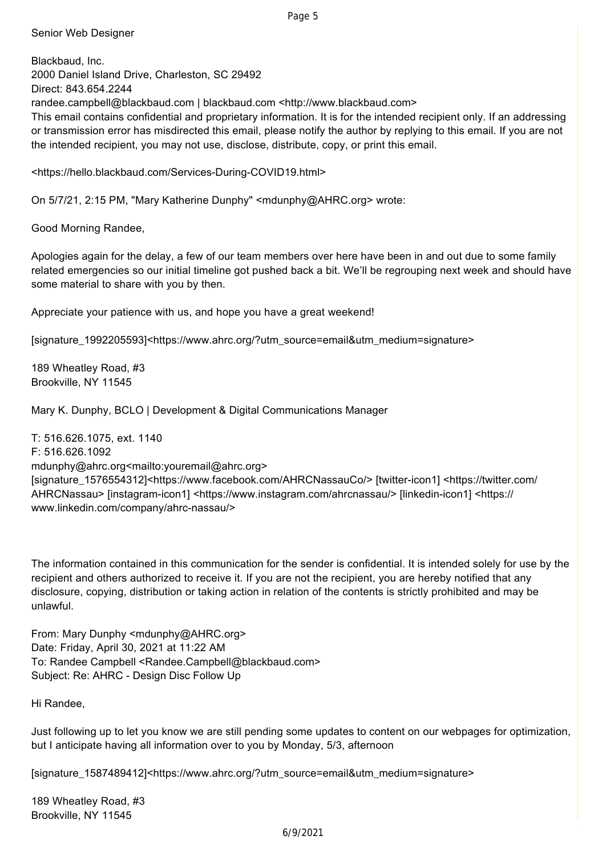Senior Web Designer

Blackbaud, Inc. 2000 Daniel Island Drive, Charleston, SC 29492 Direct: 843.654.2244 randee.campbell@blackbaud.com | blackbaud.com <http://www.blackbaud.com> This email contains confidential and proprietary information. It is for the intended recipient only. If an addressing or transmission error has misdirected this email, please notify the author by replying to this email. If you are not the intended recipient, you may not use, disclose, distribute, copy, or print this email.

<https://hello.blackbaud.com/Services-During-COVID19.html>

On 5/7/21, 2:15 PM, "Mary Katherine Dunphy" <mdunphy@AHRC.org> wrote:

Good Morning Randee,

Apologies again for the delay, a few of our team members over here have been in and out due to some family related emergencies so our initial timeline got pushed back a bit. We'll be regrouping next week and should have some material to share with you by then.

Appreciate your patience with us, and hope you have a great weekend!

[signature\_1992205593]<https://www.ahrc.org/?utm\_source=email&utm\_medium=signature>

189 Wheatley Road, #3 Brookville, NY 11545

Mary K. Dunphy, BCLO | Development & Digital Communications Manager

T: 516.626.1075, ext. 1140 F: 516.626.1092 mdunphy@ahrc.org<mailto:youremail@ahrc.org> [signature\_1576554312]<https://www.facebook.com/AHRCNassauCo/> [twitter-icon1] <https://twitter.com/ AHRCNassau> [instagram-icon1] <https://www.instagram.com/ahrcnassau/> [linkedin-icon1] <https:// www.linkedin.com/company/ahrc-nassau/>

The information contained in this communication for the sender is confidential. It is intended solely for use by the recipient and others authorized to receive it. If you are not the recipient, you are hereby notified that any disclosure, copying, distribution or taking action in relation of the contents is strictly prohibited and may be unlawful.

From: Mary Dunphy <mdunphy@AHRC.org> Date: Friday, April 30, 2021 at 11:22 AM To: Randee Campbell <Randee.Campbell@blackbaud.com> Subject: Re: AHRC - Design Disc Follow Up

Hi Randee,

Just following up to let you know we are still pending some updates to content on our webpages for optimization, but I anticipate having all information over to you by Monday, 5/3, afternoon

[signature\_1587489412]<https://www.ahrc.org/?utm\_source=email&utm\_medium=signature>

189 Wheatley Road, #3 Brookville, NY 11545